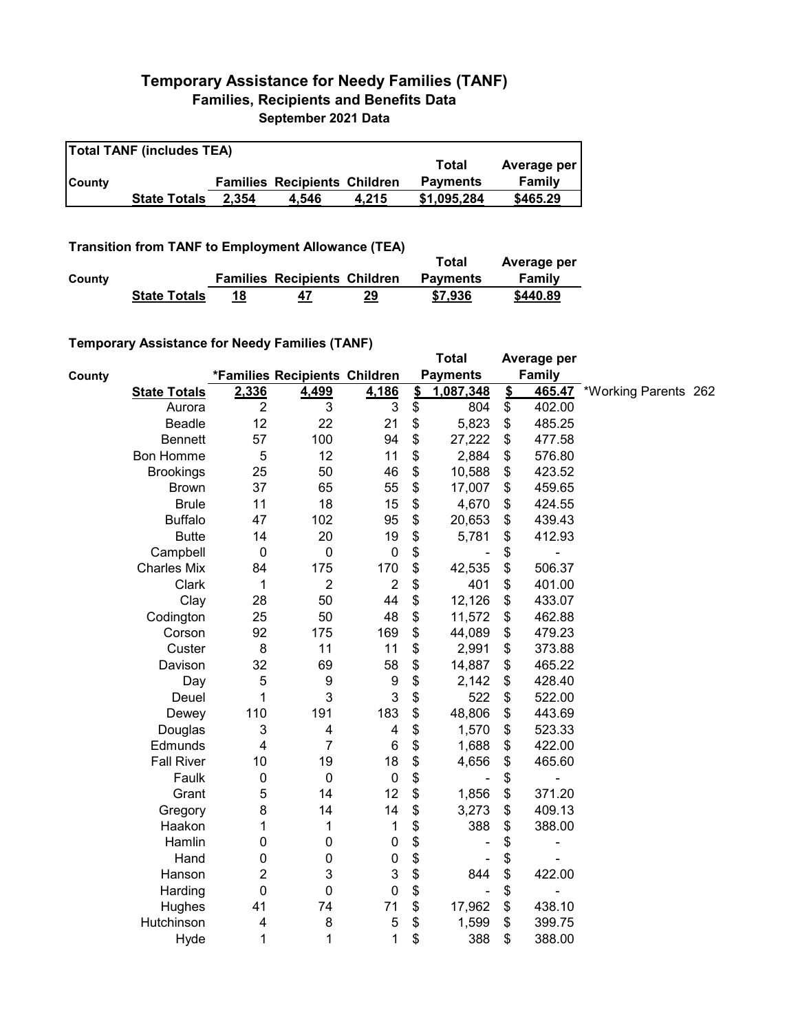## **Temporary Assistance for Needy Families (TANF) Families, Recipients and Benefits Data September 2021 Data**

| <b>Total TANF (includes TEA)</b> |                     |       |                                     |       |                 |             |  |  |
|----------------------------------|---------------------|-------|-------------------------------------|-------|-----------------|-------------|--|--|
|                                  |                     |       |                                     |       | Total           | Average per |  |  |
| <b>County</b>                    |                     |       | <b>Families Recipients Children</b> |       | <b>Payments</b> | Family      |  |  |
|                                  | <b>State Totals</b> | 2.354 | 4.546                               | 4.215 | \$1.095.284     | \$465.29    |  |  |

**Transition from TANF to Employment Allowance (TEA)**

|        |                     |                                     |    | Total           | Average per |
|--------|---------------------|-------------------------------------|----|-----------------|-------------|
| County |                     | <b>Families Recipients Children</b> |    | <b>Payments</b> | Family      |
|        | <b>State Totals</b> | 47                                  | 29 | \$7,936         | \$440.89    |

## **Temporary Assistance for Needy Families (TANF)**

|                     | $\frac{1}{2}$ , the condition of $\frac{1}{2}$ , the couple $\frac{1}{2}$ , $\frac{1}{2}$ , $\frac{1}{2}$ , $\frac{1}{2}$ , $\frac{1}{2}$ |                         |                 | <b>Total</b>  |                              | Average per   |        |                             |  |
|---------------------|-------------------------------------------------------------------------------------------------------------------------------------------|-------------------------|-----------------|---------------|------------------------------|---------------|--------|-----------------------------|--|
| County              | *Families Recipients Children                                                                                                             |                         | <b>Payments</b> |               | <b>Family</b>                |               |        |                             |  |
| <b>State Totals</b> | 2,336                                                                                                                                     | 4,499                   | 4,186           | $\frac{2}{3}$ | 1,087,348                    | $\frac{2}{3}$ |        | 465.47 *Working Parents 262 |  |
| Aurora              | $\overline{2}$                                                                                                                            | 3                       | 3               | \$            | 804                          | \$            | 402.00 |                             |  |
| <b>Beadle</b>       | 12                                                                                                                                        | 22                      | 21              | \$            | 5,823                        | \$            | 485.25 |                             |  |
| <b>Bennett</b>      | 57                                                                                                                                        | 100                     | 94              | \$            | 27,222                       | \$            | 477.58 |                             |  |
| <b>Bon Homme</b>    | 5                                                                                                                                         | 12                      | 11              | \$            | 2,884                        | \$            | 576.80 |                             |  |
| <b>Brookings</b>    | 25                                                                                                                                        | 50                      | 46              | \$            | 10,588                       | \$            | 423.52 |                             |  |
| <b>Brown</b>        | 37                                                                                                                                        | 65                      | 55              | \$            | 17,007                       | \$            | 459.65 |                             |  |
| <b>Brule</b>        | 11                                                                                                                                        | 18                      | 15              | \$            | 4,670                        | \$            | 424.55 |                             |  |
| <b>Buffalo</b>      | 47                                                                                                                                        | 102                     | 95              | \$            | 20,653                       | \$            | 439.43 |                             |  |
| <b>Butte</b>        | 14                                                                                                                                        | 20                      | 19              | \$            | 5,781                        | \$            | 412.93 |                             |  |
| Campbell            | $\mathbf 0$                                                                                                                               | $\mathbf 0$             | $\pmb{0}$       | \$            |                              | \$            |        |                             |  |
| <b>Charles Mix</b>  | 84                                                                                                                                        | 175                     | 170             | \$            | 42,535                       | \$            | 506.37 |                             |  |
| Clark               | 1                                                                                                                                         | $\overline{2}$          | $\overline{2}$  | \$            | 401                          | \$            | 401.00 |                             |  |
| Clay                | 28                                                                                                                                        | 50                      | 44              | \$            | 12,126                       | \$            | 433.07 |                             |  |
| Codington           | 25                                                                                                                                        | 50                      | 48              | \$            | 11,572                       | \$            | 462.88 |                             |  |
| Corson              | 92                                                                                                                                        | 175                     | 169             | \$            | 44,089                       | \$            | 479.23 |                             |  |
| Custer              | 8                                                                                                                                         | 11                      | 11              | \$            | 2,991                        | \$            | 373.88 |                             |  |
| Davison             | 32                                                                                                                                        | 69                      | 58              | \$            | 14,887                       | \$            | 465.22 |                             |  |
| Day                 | 5                                                                                                                                         | 9                       | 9               | \$            | 2,142                        | \$            | 428.40 |                             |  |
| Deuel               | 1                                                                                                                                         | 3                       | 3               | \$            | 522                          | \$            | 522.00 |                             |  |
| Dewey               | 110                                                                                                                                       | 191                     | 183             | \$            | 48,806                       | \$            | 443.69 |                             |  |
| Douglas             | 3                                                                                                                                         | $\overline{\mathbf{4}}$ | 4               | \$            | 1,570                        | \$            | 523.33 |                             |  |
| Edmunds             | 4                                                                                                                                         | 7                       | 6               | \$            | 1,688                        | \$            | 422.00 |                             |  |
| <b>Fall River</b>   | 10                                                                                                                                        | 19                      | 18              | \$            | 4,656                        | \$            | 465.60 |                             |  |
| Faulk               | $\pmb{0}$                                                                                                                                 | $\mathbf 0$             | $\pmb{0}$       | \$            |                              | \$            | -      |                             |  |
| Grant               | 5                                                                                                                                         | 14                      | 12              | \$            | 1,856                        | \$            | 371.20 |                             |  |
| Gregory             | 8                                                                                                                                         | 14                      | 14              | \$            | 3,273                        | \$            | 409.13 |                             |  |
| Haakon              | 1                                                                                                                                         | 1                       | 1               | \$            | 388                          | \$            | 388.00 |                             |  |
| Hamlin              | 0                                                                                                                                         | $\pmb{0}$               | $\pmb{0}$       | \$            |                              | \$            | ۰      |                             |  |
| Hand                | 0                                                                                                                                         | $\pmb{0}$               | $\pmb{0}$       | \$            |                              | \$            |        |                             |  |
| Hanson              | 2                                                                                                                                         | 3                       | 3               | \$            | 844                          | \$            | 422.00 |                             |  |
| Harding             | $\mathbf 0$                                                                                                                               | $\pmb{0}$               | 0               | \$            | $\qquad \qquad \blacksquare$ | \$            | -      |                             |  |
| Hughes              | 41                                                                                                                                        | 74                      | 71              | \$            | 17,962                       | \$            | 438.10 |                             |  |
| Hutchinson          | 4                                                                                                                                         | 8                       | 5               | \$            | 1,599                        | \$            | 399.75 |                             |  |
| Hyde                | 1                                                                                                                                         | 1                       | 1               | \$            | 388                          | \$            | 388.00 |                             |  |